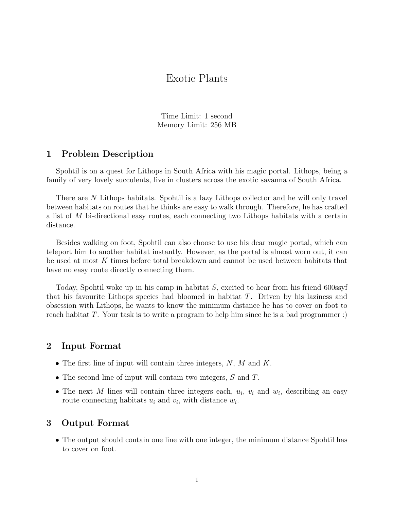# Exotic Plants

Time Limit: 1 second Memory Limit: 256 MB

#### 1 Problem Description

Spohtil is on a quest for Lithops in South Africa with his magic portal. Lithops, being a family of very lovely succulents, live in clusters across the exotic savanna of South Africa.

There are N Lithops habitats. Spohtil is a lazy Lithops collector and he will only travel between habitats on routes that he thinks are easy to walk through. Therefore, he has crafted a list of M bi-directional easy routes, each connecting two Lithops habitats with a certain distance.

Besides walking on foot, Spohtil can also choose to use his dear magic portal, which can teleport him to another habitat instantly. However, as the portal is almost worn out, it can be used at most K times before total breakdown and cannot be used between habitats that have no easy route directly connecting them.

Today, Spohtil woke up in his camp in habitat  $S$ , excited to hear from his friend 600ssyf that his favourite Lithops species had bloomed in habitat  $T$ . Driven by his laziness and obsession with Lithops, he wants to know the minimum distance he has to cover on foot to reach habitat T. Your task is to write a program to help him since he is a bad programmer :)

#### 2 Input Format

- The first line of input will contain three integers,  $N$ ,  $M$  and  $K$ .
- The second line of input will contain two integers, S and T.
- The next M lines will contain three integers each,  $u_i$ ,  $v_i$  and  $w_i$ , describing an easy route connecting habitats  $u_i$  and  $v_i$ , with distance  $w_i$ .

#### 3 Output Format

• The output should contain one line with one integer, the minimum distance Spohtil has to cover on foot.